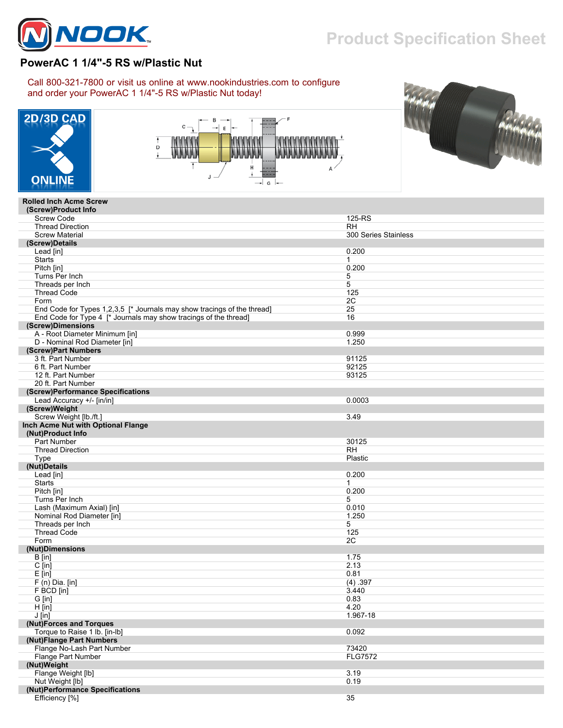

## **Product Specification Sheet**

300 Series Stainless

## **PowerAC 1 1/4"-5 RS w/Plastic Nut**

Call 800-321-7800 or visit us online at www.nookindustries.com to configure and order your PowerAC 1 1/4"-5 RS w/Plastic Nut today!







## **Rolled Inch Acme Screw (Screw)Product Info** Screw Code 125-RS Thread Direction<br>Screw Material  **(Screw)Details**

| (Screw)Details                                                          |                |
|-------------------------------------------------------------------------|----------------|
| Lead [in]                                                               | 0.200          |
| <b>Starts</b>                                                           | $\mathbf{1}$   |
| Pitch [in]                                                              | 0.200          |
| Turns Per Inch                                                          | 5              |
| Threads per Inch                                                        | 5              |
| <b>Thread Code</b>                                                      | 125            |
|                                                                         |                |
| Form                                                                    | 2C             |
| End Code for Types 1,2,3,5 [* Journals may show tracings of the thread] | 25             |
| End Code for Type 4 [* Journals may show tracings of the thread]        | 16             |
| (Screw)Dimensions                                                       |                |
| A - Root Diameter Minimum [in]                                          | 0.999          |
| D - Nominal Rod Diameter [in]                                           | 1.250          |
| (Screw)Part Numbers                                                     |                |
| 3 ft. Part Number                                                       | 91125          |
| 6 ft. Part Number                                                       | 92125          |
| 12 ft. Part Number                                                      | 93125          |
| 20 ft. Part Number                                                      |                |
| (Screw)Performance Specifications                                       |                |
|                                                                         | 0.0003         |
| Lead Accuracy +/- [in/in]                                               |                |
| (Screw)Weight                                                           |                |
| Screw Weight [lb./ft.]                                                  | 3.49           |
| Inch Acme Nut with Optional Flange                                      |                |
| (Nut)Product Info                                                       |                |
| <b>Part Number</b>                                                      | 30125          |
| <b>Thread Direction</b>                                                 | <b>RH</b>      |
| Type                                                                    | Plastic        |
| (Nut)Details                                                            |                |
| Lead [in]                                                               | 0.200          |
| <b>Starts</b>                                                           | $\mathbf{1}$   |
| Pitch [in]                                                              | 0.200          |
| Turns Per Inch                                                          | 5              |
| Lash (Maximum Axial) [in]                                               | 0.010          |
| Nominal Rod Diameter [in]                                               | 1.250          |
| Threads per Inch                                                        | 5              |
| <b>Thread Code</b>                                                      | 125            |
| Form                                                                    | 2C             |
| (Nut)Dimensions                                                         |                |
|                                                                         |                |
| $B$ [in]                                                                | 1.75           |
| $C$ [in]                                                                | 2.13           |
| $E$ [in]                                                                | 0.81           |
| $F(n)$ Dia. [in]                                                        | (4) .397       |
| F BCD [in]                                                              | 3.440          |
| G [in]                                                                  | 0.83           |
| $H$ [in]                                                                | 4.20           |
| $J$ [in]                                                                | 1.967-18       |
| (Nut)Forces and Torques                                                 |                |
| Torque to Raise 1 lb. [in-lb]                                           | 0.092          |
| (Nut)Flange Part Numbers                                                |                |
| Flange No-Lash Part Number                                              | 73420          |
| Flange Part Number                                                      | <b>FLG7572</b> |
| (Nut)Weight                                                             |                |
| Flange Weight [lb]                                                      | 3.19           |
| Nut Weight [lb]                                                         | 0.19           |
| (Nut)Performance Specifications                                         |                |
| Efficiency [%]                                                          | 35             |
|                                                                         |                |